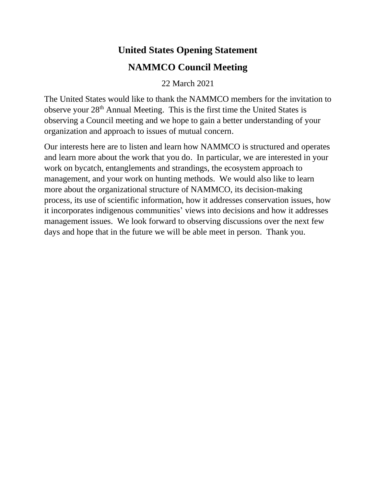## **United States Opening Statement NAMMCO Council Meeting**

22 March 2021

The United States would like to thank the NAMMCO members for the invitation to observe your 28th Annual Meeting. This is the first time the United States is observing a Council meeting and we hope to gain a better understanding of your organization and approach to issues of mutual concern.

Our interests here are to listen and learn how NAMMCO is structured and operates and learn more about the work that you do. In particular, we are interested in your work on bycatch, entanglements and strandings, the ecosystem approach to management, and your work on hunting methods. We would also like to learn more about the organizational structure of NAMMCO, its decision-making process, its use of scientific information, how it addresses conservation issues, how it incorporates indigenous communities' views into decisions and how it addresses management issues. We look forward to observing discussions over the next few days and hope that in the future we will be able meet in person. Thank you.